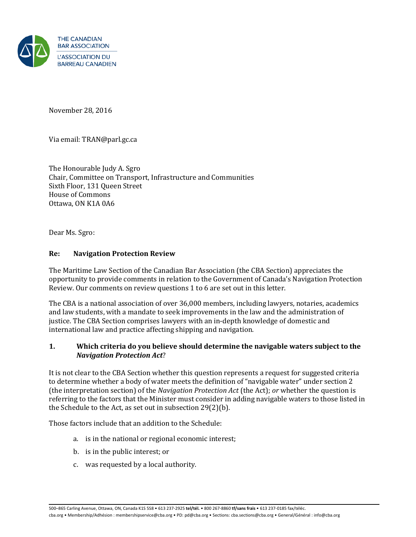

November 28, 2016

Via email: TRAN@parl.gc.ca

The Honourable Judy A. Sgro Chair, Committee on Transport, Infrastructure and Communities Sixth Floor, 131 Queen Street House of Commons Ottawa, ON K1A 0A6

Dear Ms. Sgro:

#### **Re: Navigation Protection Review**

The Maritime Law Section of the Canadian Bar Association (the CBA Section) appreciates the opportunity to provide comments in relation to the Government of Canada's Navigation Protection Review. Our comments on review questions 1 to 6 are set out in this letter.

The CBA is a national association of over 36,000 members, including lawyers, notaries, academics and law students, with a mandate to seek improvements in the law and the administration of justice. The CBA Section comprises lawyers with an in-depth knowledge of domestic and international law and practice affecting shipping and navigation.

#### **1. Which criteria do you believe should determine the navigable waters subject to the**  *Navigation Protection Act*?

It is not clear to the CBA Section whether this question represents a request for suggested criteria to determine whether a body of water meets the definition of "navigable water" under section 2 (the interpretation section) of the *Navigation Protection Act* (the Act); *or* whether the question is referring to the factors that the Minister must consider in adding navigable waters to those listed in the Schedule to the Act, as set out in subsection 29(2)(b).

Those factors include that an addition to the Schedule:

- a. is in the national or regional economic interest;
- b. is in the public interest; or
- c. was requested by a local authority.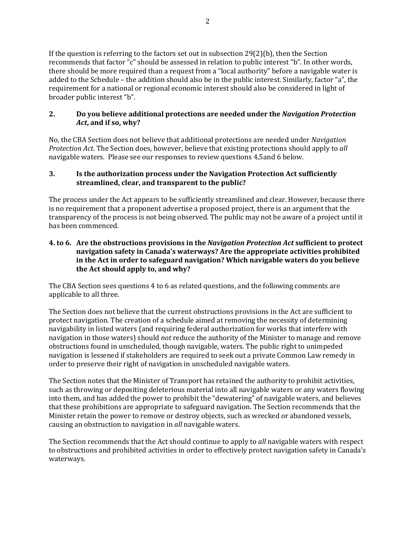If the question is referring to the factors set out in subsection  $29(2)(b)$ , then the Section recommends that factor "c" should be assessed in relation to public interest "b". In other words, there should be more required than a request from a "local authority" before a navigable water is added to the Schedule – the addition should also be in the public interest. Similarly, factor "a", the requirement for a national or regional economic interest should also be considered in light of broader public interest "b".

# **2. Do you believe additional protections are needed under the** *Navigation Protection Act***, and if so, why?**

No, the CBA Section does not believe that additional protections are needed under *Navigation Protection Act*. The Section does, however, believe that existing protections should apply to *all* navigable waters. Please see our responses to review questions 4,5and 6 below.

# **3. Is the authorization process under the Navigation Protection Act sufficiently streamlined, clear, and transparent to the public?**

The process under the Act appears to be sufficiently streamlined and clear. However, because there is no requirement that a proponent advertise a proposed project, there is an argument that the transparency of the process is not being observed. The public may not be aware of a project until it has been commenced.

### **4. to 6. Are the obstructions provisions in the** *Navigation Protection Act* **sufficient to protect navigation safety in Canada's waterways? Are the appropriate activities prohibited in the Act in order to safeguard navigation? Which navigable waters do you believe the Act should apply to, and why?**

The CBA Section sees questions 4 to 6 as related questions, and the following comments are applicable to all three.

The Section does not believe that the current obstructions provisions in the Act are sufficient to protect navigation. The creation of a schedule aimed at removing the necessity of determining navigability in listed waters (and requiring federal authorization for works that interfere with navigation in those waters) should *not* reduce the authority of the Minister to manage and remove obstructions found in unscheduled, though navigable, waters. The public right to unimpeded navigation is lessened if stakeholders are required to seek out a private Common Law remedy in order to preserve their right of navigation in unscheduled navigable waters.

The Section notes that the Minister of Transport has retained the authority to prohibit activities, such as throwing or depositing deleterious material into all navigable waters or any waters flowing into them, and has added the power to prohibit the "dewatering" of navigable waters, and believes that these prohibitions are appropriate to safeguard navigation. The Section recommends that the Minister retain the power to remove or destroy objects, such as wrecked or abandoned vessels, causing an obstruction to navigation in *all* navigable waters.

The Section recommends that the Act should continue to apply to *all* navigable waters with respect to obstructions and prohibited activities in order to effectively protect navigation safety in Canada's waterways.